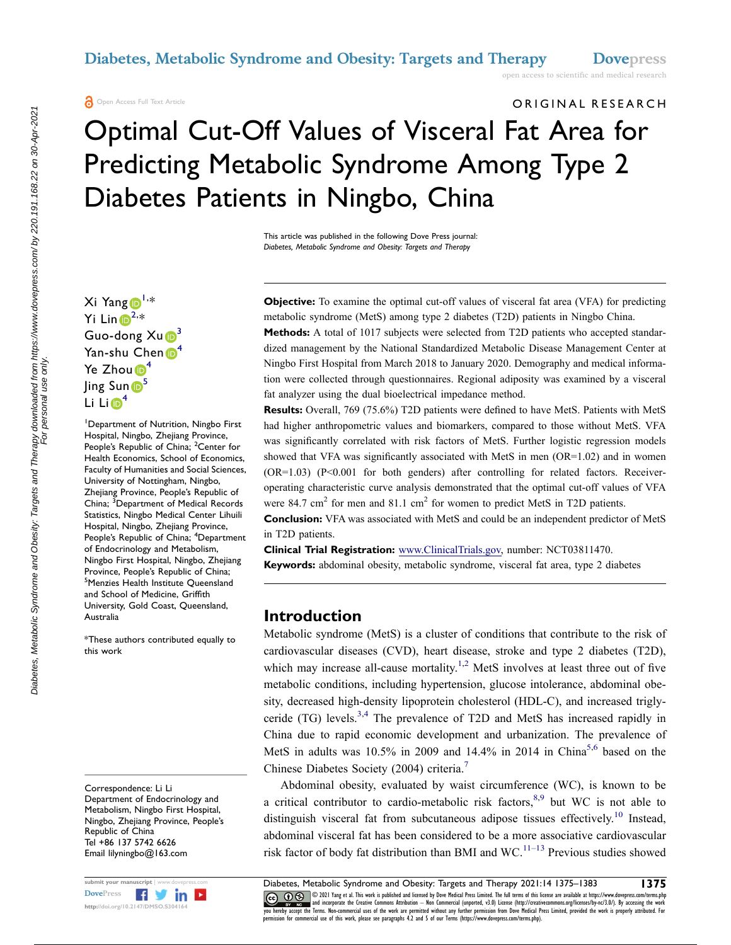ORIGINAL RESEARCH

# Optimal Cut-Off Values of Visceral Fat Area for Predicting Metabolic Syndrome Among Type 2 Diabetes Patients in Ningbo, China

This article was published in the following Dove Press journal: *Diabetes, Metabolic Syndrome and Obesity: Targets and Therapy*

Xi Yang D<sup>[1,](#page-0-0)\*</sup> Yi Lin $\bigoplus^{2,*}$  $\bigoplus^{2,*}$  $\bigoplus^{2,*}$ Guo-dong  $Xu\odot^3$ Yan-shu Chen <sup>[4](#page-0-3)</sup> Ye Zhou $\mathbb{D}^4$  $\mathbb{D}^4$ Jing Sun<sup>6</sup> Li Li $\mathbf{D}^4$  $\mathbf{D}^4$ 

<span id="page-0-2"></span><span id="page-0-1"></span><span id="page-0-0"></span>1 Department of Nutrition, Ningbo First Hospital, Ningbo, Zhejiang Province, People's Republic of China; <sup>2</sup>Center for Health Economics, School of Economics, Faculty of Humanities and Social Sciences, University of Nottingham, Ningbo, Zhejiang Province, People's Republic of China; <sup>3</sup>Department of Medical Records Statistics, Ningbo Medical Center Lihuili Hospital, Ningbo, Zhejiang Province, People's Republic of China; <sup>4</sup>Department of Endocrinology and Metabolism, Ningbo First Hospital, Ningbo, Zhejiang Province, People's Republic of China; 5 Menzies Health Institute Queensland and School of Medicine, Griffith University, Gold Coast, Queensland, Australia

<span id="page-0-4"></span><span id="page-0-3"></span>\*These authors contributed equally to this work

Correspondence: Li Li Department of Endocrinology and Metabolism, Ningbo First Hospital, Ningbo, Zhejiang Province, People's Republic of China Tel +86 137 5742 6626 Email [lilyningbo@163.com](mailto:lilyningbo@163.com)



**Objective:** To examine the optimal cut-off values of visceral fat area (VFA) for predicting metabolic syndrome (MetS) among type 2 diabetes (T2D) patients in Ningbo China.

**Methods:** A total of 1017 subjects were selected from T2D patients who accepted standardized management by the National Standardized Metabolic Disease Management Center at Ningbo First Hospital from March 2018 to January 2020. Demography and medical information were collected through questionnaires. Regional adiposity was examined by a visceral fat analyzer using the dual bioelectrical impedance method.

**Results:** Overall, 769 (75.6%) T2D patients were defined to have MetS. Patients with MetS had higher anthropometric values and biomarkers, compared to those without MetS. VFA was significantly correlated with risk factors of MetS. Further logistic regression models showed that VFA was significantly associated with MetS in men  $(OR=1.02)$  and in women (OR=1.03) (P<0.001 for both genders) after controlling for related factors. Receiveroperating characteristic curve analysis demonstrated that the optimal cut-off values of VFA were 84.7 cm<sup>2</sup> for men and 81.1 cm<sup>2</sup> for women to predict MetS in T2D patients.

**Conclusion:** VFA was associated with MetS and could be an independent predictor of MetS in T2D patients.

**Clinical Trial Registration:** [www.ClinicalTrials.gov,](http://www.ClinicalTrials.gov) number: NCT03811470. **Keywords:** abdominal obesity, metabolic syndrome, visceral fat area, type 2 diabetes

#### **Introduction**

<span id="page-0-5"></span>Metabolic syndrome (MetS) is a cluster of conditions that contribute to the risk of cardiovascular diseases (CVD), heart disease, stroke and type 2 diabetes (T2D), which may increase all-cause mortality.<sup>[1](#page-7-0),2</sup> MetS involves at least three out of five metabolic conditions, including hypertension, glucose intolerance, abdominal obesity, decreased high-density lipoprotein cholesterol (HDL-C), and increased triglyceride (TG) levels.[3](#page-7-2),[4](#page-7-3) The prevalence of T2D and MetS has increased rapidly in China due to rapid economic development and urbanization. The prevalence of MetS in adults was  $10.5\%$  $10.5\%$  $10.5\%$  in 2009 and 14.4% in 2014 in China<sup>5,6</sup> based on the Chinese Diabetes Society (2004) criteria.[7](#page-7-6)

<span id="page-0-11"></span><span id="page-0-10"></span><span id="page-0-9"></span><span id="page-0-8"></span><span id="page-0-7"></span><span id="page-0-6"></span>Abdominal obesity, evaluated by waist circumference (WC), is known to be a critical contributor to cardio-metabolic risk factors,  $8.9$  $8.9$  but WC is not able to distinguish visceral fat from subcutaneous adipose tissues effectively.<sup>10</sup> Instead, abdominal visceral fat has been considered to be a more associative cardiovascular risk factor of body fat distribution than BMI and  $WC$ .<sup>[11–13](#page-7-10)</sup> Previous studies showed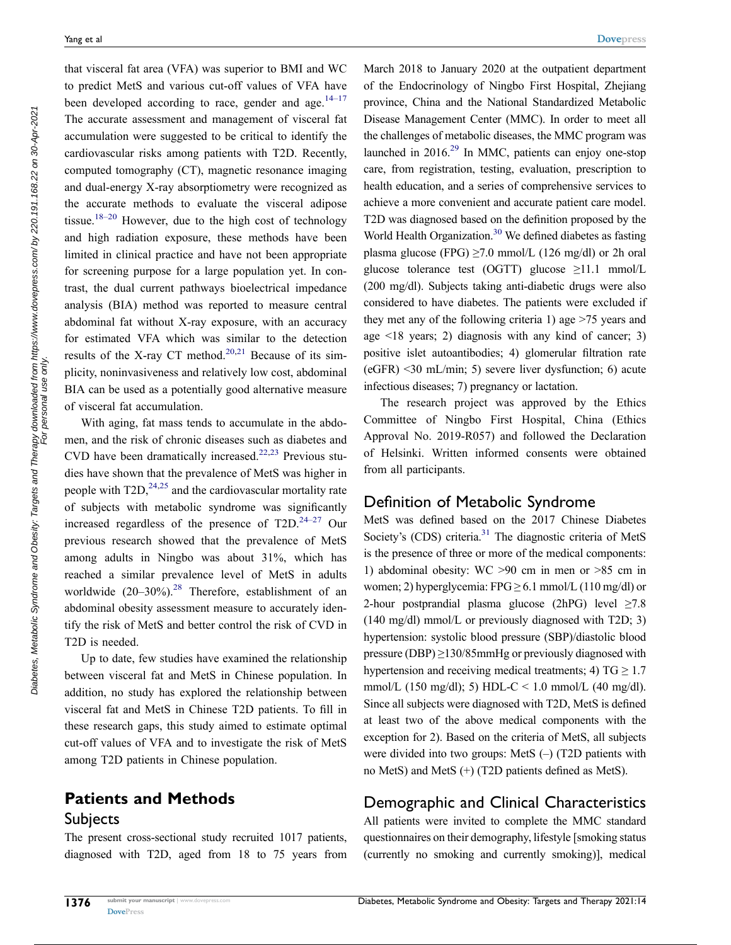<span id="page-1-1"></span><span id="page-1-0"></span>that visceral fat area (VFA) was superior to BMI and WC to predict MetS and various cut-off values of VFA have been developed according to race, gender and age. $14-17$ The accurate assessment and management of visceral fat accumulation were suggested to be critical to identify the cardiovascular risks among patients with T2D. Recently, computed tomography (CT), magnetic resonance imaging and dual-energy X-ray absorptiometry were recognized as the accurate methods to evaluate the visceral adipose tissue.<sup>18–20</sup> However, due to the high cost of technology and high radiation exposure, these methods have been limited in clinical practice and have not been appropriate for screening purpose for a large population yet. In contrast, the dual current pathways bioelectrical impedance analysis (BIA) method was reported to measure central abdominal fat without X-ray exposure, with an accuracy for estimated VFA which was similar to the detection results of the X-ray CT method.<sup>20,21</sup> Because of its simplicity, noninvasiveness and relatively low cost, abdominal BIA can be used as a potentially good alternative measure of visceral fat accumulation.

<span id="page-1-5"></span><span id="page-1-4"></span><span id="page-1-3"></span><span id="page-1-2"></span>With aging, fat mass tends to accumulate in the abdomen, and the risk of chronic diseases such as diabetes and CVD have been dramatically increased.<sup>[22](#page-7-15),23</sup> Previous studies have shown that the prevalence of MetS was higher in people with  $T2D$ ,  $^{24,25}$  $^{24,25}$  $^{24,25}$  and the cardiovascular mortality rate of subjects with metabolic syndrome was significantly increased regardless of the presence of  $T2D$ .<sup>24–27</sup> Our previous research showed that the prevalence of MetS among adults in Ningbo was about 31%, which has reached a similar prevalence level of MetS in adults worldwide  $(20-30\%)$ .<sup>28</sup> Therefore, establishment of an abdominal obesity assessment measure to accurately identify the risk of MetS and better control the risk of CVD in T2D is needed.

<span id="page-1-6"></span>Up to date, few studies have examined the relationship between visceral fat and MetS in Chinese population. In addition, no study has explored the relationship between visceral fat and MetS in Chinese T2D patients. To fill in these research gaps, this study aimed to estimate optimal cut-off values of VFA and to investigate the risk of MetS among T2D patients in Chinese population.

# **Patients and Methods Subjects**

The present cross-sectional study recruited 1017 patients, diagnosed with T2D, aged from 18 to 75 years from <span id="page-1-8"></span><span id="page-1-7"></span>March 2018 to January 2020 at the outpatient department of the Endocrinology of Ningbo First Hospital, Zhejiang province, China and the National Standardized Metabolic Disease Management Center (MMC). In order to meet all the challenges of metabolic diseases, the MMC program was launched in 2016[.29](#page-7-20) In MMC, patients can enjoy one-stop care, from registration, testing, evaluation, prescription to health education, and a series of comprehensive services to achieve a more convenient and accurate patient care model. T2D was diagnosed based on the definition proposed by the World Health Organization.<sup>30</sup> We defined diabetes as fasting plasma glucose (FPG)  $\geq$ 7.0 mmol/L (126 mg/dl) or 2h oral glucose tolerance test (OGTT) glucose  $\geq$ 11.1 mmol/L (200 mg/dl). Subjects taking anti-diabetic drugs were also considered to have diabetes. The patients were excluded if they met any of the following criteria 1) age >75 years and age  $\leq 18$  years; 2) diagnosis with any kind of cancer; 3) positive islet autoantibodies; 4) glomerular filtration rate (eGFR) <30 mL/min; 5) severe liver dysfunction; 6) acute infectious diseases; 7) pregnancy or lactation.

The research project was approved by the Ethics Committee of Ningbo First Hospital, China (Ethics Approval No. 2019-R057) and followed the Declaration of Helsinki. Written informed consents were obtained from all participants.

#### Definition of Metabolic Syndrome

<span id="page-1-9"></span>MetS was defined based on the 2017 Chinese Diabetes Society's (CDS) criteria.<sup>31</sup> The diagnostic criteria of MetS is the presence of three or more of the medical components: 1) abdominal obesity: WC >90 cm in men or >85 cm in women; 2) hyperglycemia:  $FPG \ge 6.1$  mmol/L (110 mg/dl) or 2-hour postprandial plasma glucose (2hPG) level ≥7.8 (140 mg/dl) mmol/L or previously diagnosed with T2D; 3) hypertension: systolic blood pressure (SBP)/diastolic blood pressure (DBP) $\geq$ 130/85mmHg or previously diagnosed with hypertension and receiving medical treatments; 4)  $TG \ge 1.7$ mmol/L (150 mg/dl); 5) HDL-C < 1.0 mmol/L (40 mg/dl). Since all subjects were diagnosed with T2D, MetS is defined at least two of the above medical components with the exception for 2). Based on the criteria of MetS, all subjects were divided into two groups: MetS (–) (T2D patients with no MetS) and MetS (+) (T2D patients defined as MetS).

#### Demographic and Clinical Characteristics

All patients were invited to complete the MMC standard questionnaires on their demography, lifestyle [smoking status (currently no smoking and currently smoking)], medical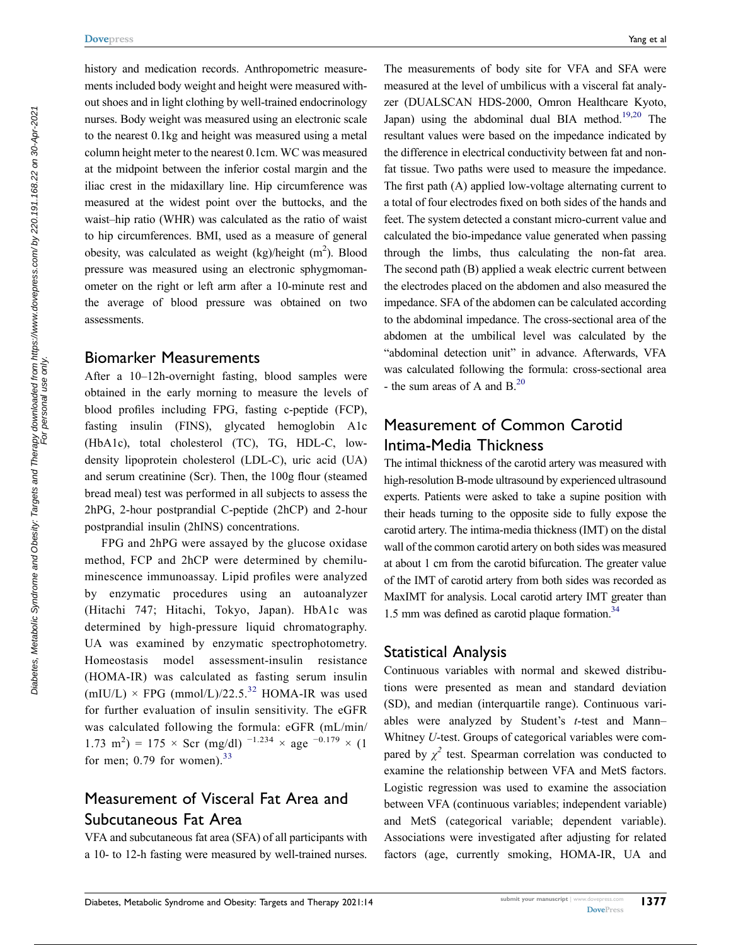history and medication records. Anthropometric measurements included body weight and height were measured without shoes and in light clothing by well-trained endocrinology nurses. Body weight was measured using an electronic scale to the nearest 0.1kg and height was measured using a metal column height meter to the nearest 0.1cm. WC was measured at the midpoint between the inferior costal margin and the iliac crest in the midaxillary line. Hip circumference was measured at the widest point over the buttocks, and the waist–hip ratio (WHR) was calculated as the ratio of waist to hip circumferences. BMI, used as a measure of general obesity, was calculated as weight  $(kg)/height (m<sup>2</sup>)$ . Blood pressure was measured using an electronic sphygmomanometer on the right or left arm after a 10-minute rest and the average of blood pressure was obtained on two assessments.

#### Biomarker Measurements

After a 10–12h-overnight fasting, blood samples were obtained in the early morning to measure the levels of blood profiles including FPG, fasting c-peptide (FCP), fasting insulin (FINS), glycated hemoglobin A1c (HbA1c), total cholesterol (TC), TG, HDL-C, lowdensity lipoprotein cholesterol (LDL-C), uric acid (UA) and serum creatinine (Scr). Then, the 100g flour (steamed bread meal) test was performed in all subjects to assess the 2hPG, 2-hour postprandial C-peptide (2hCP) and 2-hour postprandial insulin (2hINS) concentrations.

FPG and 2hPG were assayed by the glucose oxidase method, FCP and 2hCP were determined by chemiluminescence immunoassay. Lipid profiles were analyzed by enzymatic procedures using an autoanalyzer (Hitachi 747; Hitachi, Tokyo, Japan). HbA1c was determined by high-pressure liquid chromatography. UA was examined by enzymatic spectrophotometry. Homeostasis model assessment-insulin resistance (HOMA-IR) was calculated as fasting serum insulin (mIU/L)  $\times$  FPG (mmol/L)/22.5.<sup>[32](#page-8-1)</sup> HOMA-IR was used for further evaluation of insulin sensitivity. The eGFR was calculated following the formula: eGFR (mL/min/ 1.73 m<sup>2</sup>) = 175 × Scr (mg/dl) <sup>-1.234</sup> × age <sup>-0.179</sup> × (1 for men;  $0.79$  for women).<sup>[33](#page-8-2)</sup>

# <span id="page-2-2"></span><span id="page-2-1"></span>Measurement of Visceral Fat Area and Subcutaneous Fat Area

VFA and subcutaneous fat area (SFA) of all participants with a 10- to 12-h fasting were measured by well-trained nurses. <span id="page-2-0"></span>The measurements of body site for VFA and SFA were measured at the level of umbilicus with a visceral fat analyzer (DUALSCAN HDS-2000, Omron Healthcare Kyoto, Japan) using the abdominal dual BIA method.<sup>19[,20](#page-7-13)</sup> The resultant values were based on the impedance indicated by the difference in electrical conductivity between fat and nonfat tissue. Two paths were used to measure the impedance. The first path (A) applied low-voltage alternating current to a total of four electrodes fixed on both sides of the hands and feet. The system detected a constant micro-current value and calculated the bio-impedance value generated when passing through the limbs, thus calculating the non-fat area. The second path (B) applied a weak electric current between the electrodes placed on the abdomen and also measured the impedance. SFA of the abdomen can be calculated according to the abdominal impedance. The cross-sectional area of the abdomen at the umbilical level was calculated by the "abdominal detection unit" in advance. Afterwards, VFA was calculated following the formula: cross-sectional area - the sum areas of A and  $B<sup>20</sup>$  $B<sup>20</sup>$  $B<sup>20</sup>$ 

# Measurement of Common Carotid Intima-Media Thickness

The intimal thickness of the carotid artery was measured with high-resolution B-mode ultrasound by experienced ultrasound experts. Patients were asked to take a supine position with their heads turning to the opposite side to fully expose the carotid artery. The intima-media thickness (IMT) on the distal wall of the common carotid artery on both sides was measured at about 1 cm from the carotid bifurcation. The greater value of the IMT of carotid artery from both sides was recorded as MaxIMT for analysis. Local carotid artery IMT greater than 1.5 mm was defined as carotid plaque formation.<sup>34</sup>

#### <span id="page-2-3"></span>Statistical Analysis

Continuous variables with normal and skewed distributions were presented as mean and standard deviation (SD), and median (interquartile range). Continuous variables were analyzed by Student's *t*-test and Mann– Whitney *U*-test. Groups of categorical variables were compared by  $\chi^2$  test. Spearman correlation was conducted to examine the relationship between VFA and MetS factors. Logistic regression was used to examine the association between VFA (continuous variables; independent variable) and MetS (categorical variable; dependent variable). Associations were investigated after adjusting for related factors (age, currently smoking, HOMA-IR, UA and

For personal use only.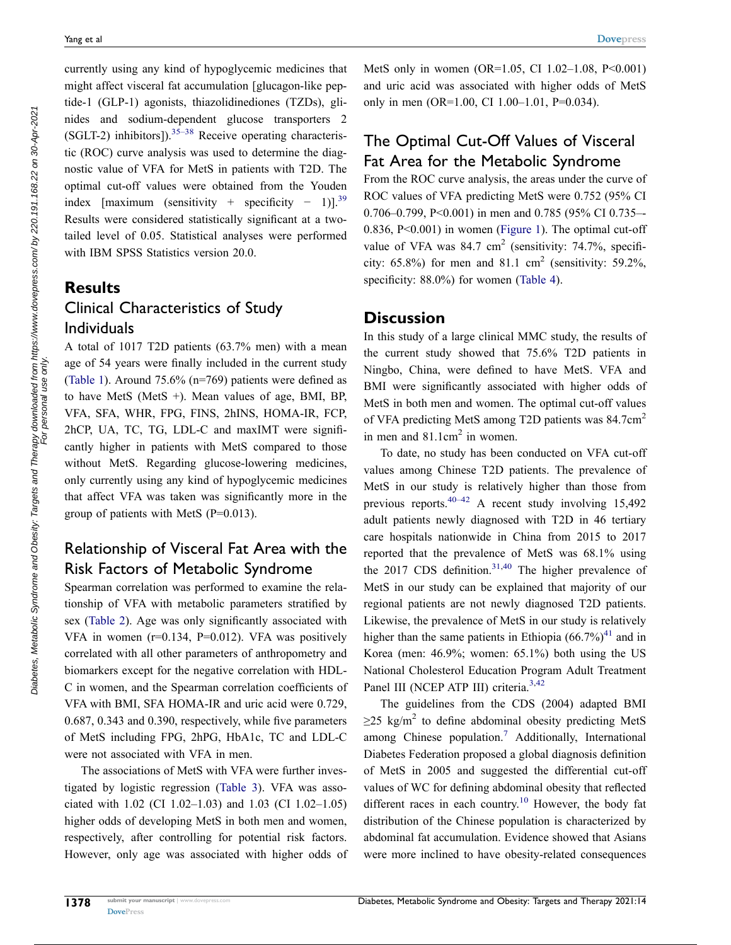<span id="page-3-0"></span>currently using any kind of hypoglycemic medicines that might affect visceral fat accumulation [glucagon-like peptide-1 (GLP-1) agonists, thiazolidinediones (TZDs), glinides and sodium-dependent glucose transporters 2  $(SGLT-2)$  inhibitors]).<sup>[35–38](#page-8-4)</sup> Receive operating characteristic (ROC) curve analysis was used to determine the diagnostic value of VFA for MetS in patients with T2D. The optimal cut-off values were obtained from the Youden index [maximum (sensitivity + specificity – 1)].<sup>39</sup> Results were considered statistically significant at a twotailed level of 0.05. Statistical analyses were performed with IBM SPSS Statistics version 20.0.

# <span id="page-3-1"></span>**Results** Clinical Characteristics of Study Individuals

A total of 1017 T2D patients (63.7% men) with a mean age of 54 years were finally included in the current study [\(Table 1](#page-4-0)). Around 75.6% (n=769) patients were defined as to have MetS (MetS  $+$ ). Mean values of age, BMI, BP, VFA, SFA, WHR, FPG, FINS, 2hINS, HOMA-IR, FCP, 2hCP, UA, TC, TG, LDL-C and maxIMT were significantly higher in patients with MetS compared to those without MetS. Regarding glucose-lowering medicines, only currently using any kind of hypoglycemic medicines that affect VFA was taken was significantly more in the group of patients with MetS (P=0.013).

# Relationship of Visceral Fat Area with the Risk Factors of Metabolic Syndrome

Spearman correlation was performed to examine the relationship of VFA with metabolic parameters stratified by sex [\(Table 2](#page-5-0)). Age was only significantly associated with VFA in women (r=0.134, P=0.012). VFA was positively correlated with all other parameters of anthropometry and biomarkers except for the negative correlation with HDL-C in women, and the Spearman correlation coefficients of VFA with BMI, SFA HOMA-IR and uric acid were 0.729, 0.687, 0.343 and 0.390, respectively, while five parameters of MetS including FPG, 2hPG, HbA1c, TC and LDL-C were not associated with VFA in men.

The associations of MetS with VFA were further investigated by logistic regression [\(Table 3](#page-5-1)). VFA was associated with 1.02 (CI 1.02–1.03) and 1.03 (CI 1.02–1.05) higher odds of developing MetS in both men and women, respectively, after controlling for potential risk factors. However, only age was associated with higher odds of MetS only in women (OR=1.05, CI 1.02–1.08, P<0.001) and uric acid was associated with higher odds of MetS only in men (OR=1.00, CI 1.00–1.01, P=0.034).

# The Optimal Cut-Off Values of Visceral Fat Area for the Metabolic Syndrome

From the ROC curve analysis, the areas under the curve of ROC values of VFA predicting MetS were 0.752 (95% CI 0.706–0.799, P<0.001) in men and 0.785 (95% CI 0.735–-0.836, P<0.001) in women [\(Figure 1](#page-5-2)). The optimal cut-off value of VFA was  $84.7 \text{ cm}^2$  (sensitivity: 74.7%, specificity:  $65.8\%$ ) for men and  $81.1 \text{ cm}^2$  (sensitivity:  $59.2\%$ , specificity: 88.0%) for women [\(Table 4\)](#page-6-0).

#### **Discussion**

In this study of a large clinical MMC study, the results of the current study showed that 75.6% T2D patients in Ningbo, China, were defined to have MetS. VFA and BMI were significantly associated with higher odds of MetS in both men and women. The optimal cut-off values of VFA predicting MetS among T2D patients was 84.7cm2 in men and  $81.1 \text{cm}^2$  in women.

<span id="page-3-2"></span>To date, no study has been conducted on VFA cut-off values among Chinese T2D patients. The prevalence of MetS in our study is relatively higher than those from previous reports.<sup>40–42</sup> A recent study involving 15,492 adult patients newly diagnosed with T2D in 46 tertiary care hospitals nationwide in China from 2015 to 2017 reported that the prevalence of MetS was 68.1% using the  $2017$  CDS definition.<sup>31,40</sup> The higher prevalence of MetS in our study can be explained that majority of our regional patients are not newly diagnosed T2D patients. Likewise, the prevalence of MetS in our study is relatively higher than the same patients in Ethiopia  $(66.7\%)^{41}$  $(66.7\%)^{41}$  $(66.7\%)^{41}$  and in Korea (men: 46.9%; women: 65.1%) both using the US National Cholesterol Education Program Adult Treatment Panel III (NCEP ATP III) criteria.<sup>3[,42](#page-8-8)</sup>

<span id="page-3-4"></span><span id="page-3-3"></span>The guidelines from the CDS (2004) adapted BMI  $\geq$ 25 kg/m<sup>2</sup> to define abdominal obesity predicting MetS among Chinese population.[7](#page-7-6) Additionally, International Diabetes Federation proposed a global diagnosis definition of MetS in 2005 and suggested the differential cut-off values of WC for defining abdominal obesity that reflected different races in each country.<sup>10</sup> However, the body fat distribution of the Chinese population is characterized by abdominal fat accumulation. Evidence showed that Asians were more inclined to have obesity-related consequences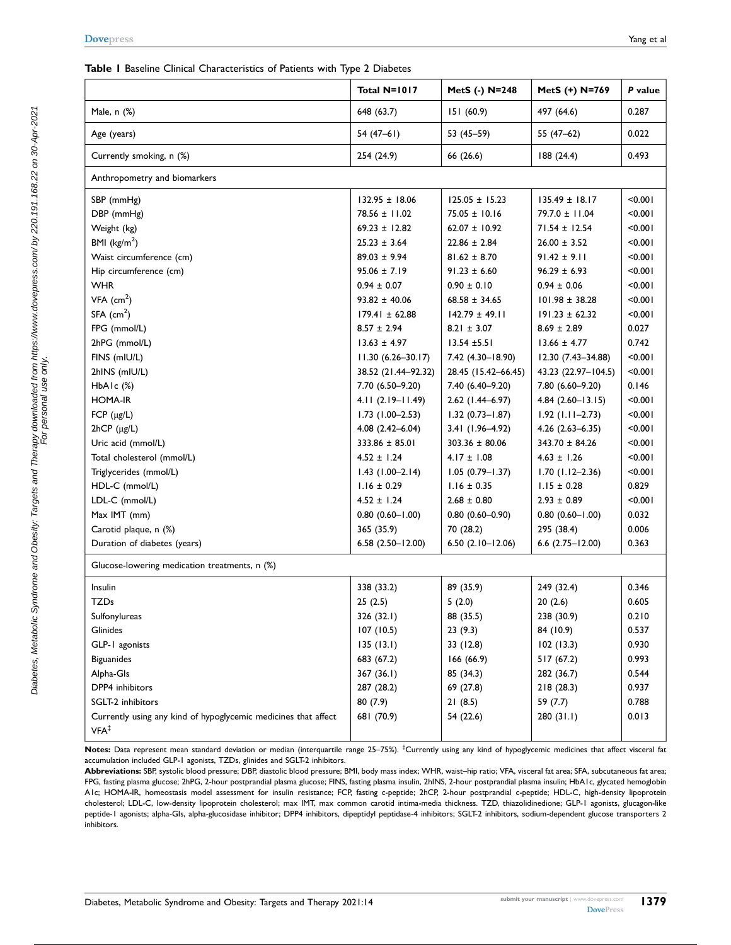<span id="page-4-0"></span>

|                                                                | Total N=1017           | MetS (-) N=248         | MetS (+) N=769         | P value |
|----------------------------------------------------------------|------------------------|------------------------|------------------------|---------|
| Male, n (%)                                                    | 648 (63.7)             | 151(60.9)              | 497 (64.6)             | 0.287   |
| Age (years)                                                    | $54(47-61)$            | 53 (45-59)             | 55 (47-62)             | 0.022   |
| Currently smoking, n (%)                                       | 254 (24.9)             | 66 (26.6)              | 188 (24.4)             | 0.493   |
| Anthropometry and biomarkers                                   |                        |                        |                        |         |
| SBP (mmHg)                                                     | $132.95 \pm 18.06$     | $125.05 \pm 15.23$     | $135.49 \pm 18.17$     | < 0.001 |
| DBP (mmHg)                                                     | $78.56 \pm 11.02$      | $75.05 \pm 10.16$      | $79.7.0 \pm 11.04$     | < 0.001 |
| Weight (kg)                                                    | $69.23 \pm 12.82$      | $62.07 \pm 10.92$      | $71.54 \pm 12.54$      | < 0.001 |
| BMI ( $\text{kg/m}^2$ )                                        | $25.23 \pm 3.64$       | $22.86 \pm 2.84$       | $26.00 \pm 3.52$       | < 0.001 |
| Waist circumference (cm)                                       | $89.03 \pm 9.94$       | $81.62 \pm 8.70$       | $91.42 \pm 9.11$       | < 0.001 |
| Hip circumference (cm)                                         | $95.06 \pm 7.19$       | $91.23 \pm 6.60$       | $96.29 \pm 6.93$       | < 0.001 |
| <b>WHR</b>                                                     | $0.94 \pm 0.07$        | $0.90 \pm 0.10$        | $0.94 \pm 0.06$        | < 0.001 |
| $VFA$ (cm <sup>2</sup> )                                       | $93.82 \pm 40.06$      | $68.58 \pm 34.65$      | $101.98 \pm 38.28$     | < 0.001 |
| $SFA$ (cm <sup>2</sup> )                                       | $179.41 \pm 62.88$     | $142.79 \pm 49.11$     | $191.23 \pm 62.32$     | < 0.001 |
| FPG (mmol/L)                                                   | $8.57 \pm 2.94$        | $8.21 \pm 3.07$        | $8.69 \pm 2.89$        | 0.027   |
| 2hPG (mmol/L)                                                  | $13.63 \pm 4.97$       | $13.54 \pm 5.51$       | $13.66 \pm 4.77$       | 0.742   |
| FINS (mIU/L)                                                   | $11.30(6.26 - 30.17)$  | 7.42 (4.30-18.90)      | 12.30 (7.43-34.88)     | < 0.001 |
| 2hINS (mIU/L)                                                  | 38.52 (21.44-92.32)    | 28.45 (15.42-66.45)    | 43.23 (22.97-104.5)    | < 0.001 |
| $HbA1c$ $(\%)$                                                 | 7.70 (6.50-9.20)       | 7.40 (6.40-9.20)       | 7.80 (6.60-9.20)       | 0.146   |
| <b>HOMA-IR</b>                                                 | $4.11(2.19 - 11.49)$   | 2.62 (1.44-6.97)       | $4.84(2.60-13.15)$     | < 0.001 |
| FCP $(\mu g/L)$                                                | $1.73$ (1.00-2.53)     | $1.32(0.73 - 1.87)$    | $1.92$ (1.11-2.73)     | < 0.001 |
| 2hCP (µg/L)                                                    | $4.08$ $(2.42 - 6.04)$ | 3.41 (1.96-4.92)       | $4.26$ $(2.63 - 6.35)$ | < 0.001 |
| Uric acid (mmol/L)                                             | $333.86 \pm 85.01$     | $303.36 \pm 80.06$     | $343.70 \pm 84.26$     | < 0.001 |
| Total cholesterol (mmol/L)                                     | $4.52 \pm 1.24$        | $4.17 \pm 1.08$        | $4.63 \pm 1.26$        | < 0.001 |
| Triglycerides (mmol/L)                                         | $1.43$ (1.00-2.14)     | $1.05(0.79 - 1.37)$    | $1.70(1.12 - 2.36)$    | < 0.001 |
| HDL-C (mmol/L)                                                 | $1.16 \pm 0.29$        | $1.16 \pm 0.35$        | $1.15 \pm 0.28$        | 0.829   |
| LDL-C (mmol/L)                                                 | $4.52 \pm 1.24$        | $2.68 \pm 0.80$        | $2.93 \pm 0.89$        | < 0.001 |
| Max IMT (mm)                                                   | $0.80$ $(0.60 - 1.00)$ | $0.80(0.60 - 0.90)$    | $0.80(0.60 - 1.00)$    | 0.032   |
|                                                                |                        |                        |                        | 0.006   |
| Carotid plaque, n (%)<br>Duration of diabetes (years)          | 365 (35.9)             | 70 (28.2)              | 295 (38.4)             | 0.363   |
|                                                                | $6.58(2.50 - 12.00)$   | $6.50(2.10 - 12.06)$   | $6.6$ $(2.75 - 12.00)$ |         |
| Glucose-lowering medication treatments, n (%)                  |                        |                        |                        |         |
| Insulin                                                        | 338 (33.2)             | 89 (35.9)              | 249 (32.4)             | 0.346   |
| <b>TZDs</b>                                                    | 25(2.5)                | 5(2.0)                 | 20(2.6)                | 0.605   |
| Sulfonylureas                                                  | 326 (32.1)             | 88 (35.5)              | 238 (30.9)             | 0.210   |
| Glinides                                                       | 107(10.5)              | 23(9.3)                | 84 (10.9)              | 0.537   |
| GLP-1 agonists                                                 | 135(13.1)              | 33 (12.8)              | 102(13.3)              | 0.930   |
| <b>Biguanides</b>                                              | 683 (67.2)             | 166(66.9)              | 517 (67.2)             | 0.993   |
| Alpha-Gls                                                      | 367 (36.1)             | 85 (34.3)              | 282 (36.7)             | 0.544   |
| DPP4 inhibitors                                                | 287 (28.2)             | 69 (27.8)<br>218(28.3) |                        | 0.937   |
| SGLT-2 inhibitors                                              | 80(7.9)                | 21(8.5)                | 59 (7.7)               | 0.788   |
| Currently using any kind of hypoglycemic medicines that affect | 681 (70.9)             | 54 (22.6)              | 280(31.1)              | 0.013   |
| VFA <sup>‡</sup>                                               |                        |                        |                        |         |

Notes: Data represent mean standard deviation or median (interquartile range 25–75%). <sup>‡</sup>Currently using any kind of hypoglycemic medicines that affect visceral fat accumulation included GLP-1 agonists, TZDs, glinides and SGLT-2 inhibitors.

**Abbreviations:** SBP, systolic blood pressure; DBP, diastolic blood pressure; BMI, body mass index; WHR, waist–hip ratio; VFA, visceral fat area; SFA, subcutaneous fat area; FPG, fasting plasma glucose; 2hPG, 2-hour postprandial plasma glucose; FINS, fasting plasma insulin, 2hINS, 2-hour postprandial plasma insulin; HbA1c, glycated hemoglobin A1c; HOMA-IR, homeostasis model assessment for insulin resistance; FCP, fasting c-peptide; 2hCP, 2-hour postprandial c-peptide; HDL-C, high-density lipoprotein cholesterol; LDL-C, low-density lipoprotein cholesterol; max IMT, max common carotid intima-media thickness. TZD, thiazolidinedione; GLP-1 agonists, glucagon-like peptide-1 agonists; alpha-GIs, alpha-glucosidase inhibitor; DPP4 inhibitors, dipeptidyl peptidase-4 inhibitors; SGLT-2 inhibitors, sodium-dependent glucose transporters 2 inhibitors.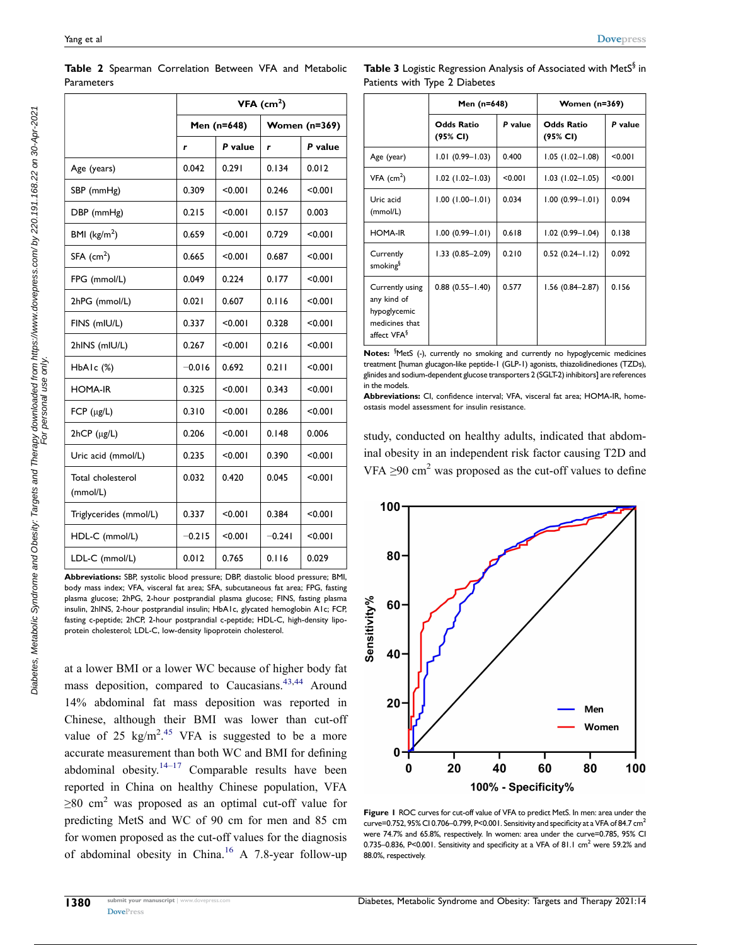|                               | $VFA$ (cm <sup>2</sup> ) |         |                      |         |
|-------------------------------|--------------------------|---------|----------------------|---------|
|                               | Men (n=648)              |         | <b>Women (n=369)</b> |         |
|                               | r                        | P value | r                    | P value |
| Age (years)                   | 0.042                    | 0.291   | 0.134                | 0.012   |
| SBP (mmHg)                    | 0.309                    | < 0.001 | 0.246                | < 0.001 |
| DBP (mmHg)                    | 0.215                    | < 0.001 | 0.157                | 0.003   |
| BMI ( $\text{kg/m}^2$ )       | 0.659                    | < 0.001 | 0.729                | < 0.001 |
| $SFA$ (cm <sup>2</sup> )      | 0.665                    | < 0.001 | 0.687                | < 0.001 |
| FPG (mmol/L)                  | 0.049                    | 0.224   | 0.177                | < 0.001 |
| 2hPG (mmol/L)                 | 0.021                    | 0.607   | 0.116                | < 0.001 |
| FINS (mIU/L)                  | 0.337                    | < 0.001 | 0.328                | < 0.001 |
| 2hINS (mIU/L)                 | 0.267                    | < 0.001 | 0.216                | < 0.001 |
| $HbA1c$ $%$                   | $-0.016$                 | 0.692   | 0.211                | < 0.001 |
| <b>HOMA-IR</b>                | 0.325                    | < 0.001 | 0.343                | < 0.001 |
| FCP $(\mu g/L)$               | 0.310                    | < 0.001 | 0.286                | < 0.001 |
| 2hCP (µg/L)                   | 0.206                    | < 0.001 | 0.148                | 0.006   |
| Uric acid (mmol/L)            | 0.235                    | < 0.001 | 0.390                | < 0.001 |
| Total cholesterol<br>(mmol/L) | 0.032                    | 0.420   | 0.045                | < 0.001 |
| Triglycerides (mmol/L)        | 0.337                    | < 0.001 | 0.384                | < 0.001 |
| HDL-C (mmol/L)                | $-0.215$                 | < 0.001 | $-0.241$             | < 0.001 |
| LDL-C (mmol/L)                | 0.012                    | 0.765   | 0.116                | 0.029   |

<span id="page-5-0"></span>**Table 2** Spearman Correlation Between VFA and Metabolic Parameters

**Abbreviations:** SBP, systolic blood pressure; DBP, diastolic blood pressure; BMI, body mass index; VFA, visceral fat area; SFA, subcutaneous fat area; FPG, fasting plasma glucose; 2hPG, 2-hour postprandial plasma glucose; FINS, fasting plasma insulin, 2hINS, 2-hour postprandial insulin; HbA1c, glycated hemoglobin A1c; FCP, fasting c-peptide; 2hCP, 2-hour postprandial c-peptide; HDL-C, high-density lipoprotein cholesterol; LDL-C, low-density lipoprotein cholesterol.

<span id="page-5-5"></span><span id="page-5-4"></span><span id="page-5-3"></span>at a lower BMI or a lower WC because of higher body fat mass deposition, compared to Caucasians.<sup>[43,](#page-8-9)[44](#page-8-10)</sup> Around 14% abdominal fat mass deposition was reported in Chinese, although their BMI was lower than cut-off value of 25  $\text{kg/m}^2$ .<sup>45</sup> VFA is suggested to be a more accurate measurement than both WC and BMI for defining abdominal obesity. $14-17$  Comparable results have been reported in China on healthy Chinese population, VFA  $\geq 80$  cm<sup>2</sup> was proposed as an optimal cut-off value for predicting MetS and WC of 90 cm for men and 85 cm for women proposed as the cut-off values for the diagnosis of abdominal obesity in China.<sup>16</sup> A 7.8-year follow-up

<span id="page-5-1"></span>

| <b>Table 3</b> Logistic Regression Analysis of Associated with MetS $^{\S}$ in |  |
|--------------------------------------------------------------------------------|--|
| Patients with Type 2 Diabetes                                                  |  |

|                                                                                             | Men (n=648)                   |         | Women (n=369)                 |         |  |
|---------------------------------------------------------------------------------------------|-------------------------------|---------|-------------------------------|---------|--|
|                                                                                             | <b>Odds Ratio</b><br>(95% CI) | P value | <b>Odds Ratio</b><br>(95% CI) | P value |  |
| Age (year)                                                                                  | $1.01(0.99 - 1.03)$           | 0.400   | $1.05(1.02 - 1.08)$           | < 0.001 |  |
| $VFA$ (cm <sup>2</sup> )                                                                    | $1.02$ (1.02-1.03)            | < 0.001 | $1.03$ (1.02-1.05)            | < 0.001 |  |
| Uric acid<br>(mmol/L)                                                                       | $1.00(1.00 - 1.01)$           | 0.034   | $1.00(0.99 - 1.01)$           | 0.094   |  |
| <b>HOMA-IR</b>                                                                              | $1.00(0.99 - 1.01)$           | 0.618   | $1.02$ (0.99-1.04)            | 0.138   |  |
| Currently<br>smoking <sup>§</sup>                                                           | $1.33(0.85 - 2.09)$           | 0.210   | $0.52(0.24 - 1.12)$           | 0.092   |  |
| Currently using<br>any kind of<br>hypoglycemic<br>medicines that<br>affect VFA <sup>§</sup> | $0.88$ $(0.55 - 1.40)$        | 0.577   | $1.56(0.84 - 2.87)$           | 0.156   |  |

Notes: <sup>§</sup>MetS (-), currently no smoking and currently no hypoglycemic medicines treatment [human glucagon-like peptide-1 (GLP-1) agonists, thiazolidinediones (TZDs), glinides and sodium-dependent glucose transporters 2 (SGLT-2) inhibitors] are references in the models.

**Abbreviations:** CI, confidence interval; VFA, visceral fat area; HOMA-IR, homeostasis model assessment for insulin resistance.

study, conducted on healthy adults, indicated that abdominal obesity in an independent risk factor causing T2D and VFA  $\geq$ 90 cm<sup>2</sup> was proposed as the cut-off values to define

<span id="page-5-2"></span>

**Figure 1** ROC curves for cut-off value of VFA to predict MetS. In men: area under the curve=0.752, 95% CI 0.706-0.799, P<0.001. Sensitivity and specificity at a VFA of 84.7 cm<sup>2</sup> were 74.7% and 65.8%, respectively. In women: area under the curve=0.785, 95% CI 0.735–0.836, P<0.001. Sensitivity and specificity at a VFA of 81.1 cm<sup>2</sup> were 59.2% and 88.0%, respectively.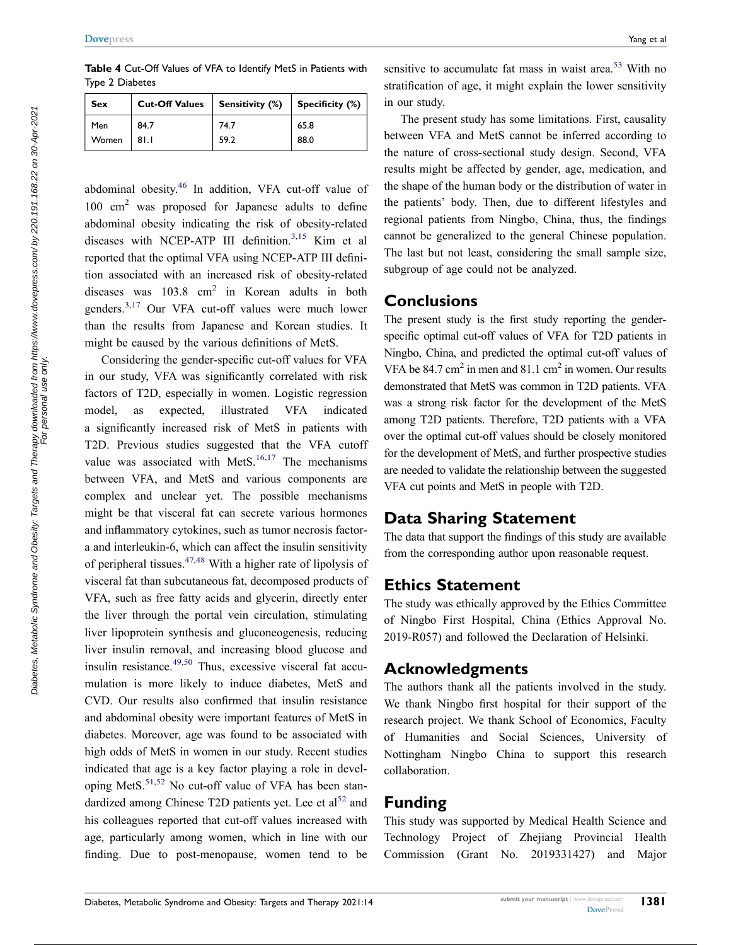<span id="page-6-0"></span>**Table 4** Cut-Off Values of VFA to Identify MetS in Patients with Type 2 Diabetes

| Sex   | <b>Cut-Off Values</b> | <b>Sensitivity (%)</b> | Specificity (%) |
|-------|-----------------------|------------------------|-----------------|
| Men   | 84.7                  | 74.7                   | 65.8            |
| Women | 81.1                  | 59.2                   | 88.0            |

<span id="page-6-3"></span><span id="page-6-1"></span>abdominal obesity. [46](#page-8-12) In addition, VFA cut-off value of 100 cm<sup>2</sup> was proposed for Japanese adults to define abdominal obesity indicating the risk of obesity-related diseases with NCEP-ATP III definition.<sup>[3](#page-7-2),15</sup> Kim et al reported that the optimal VFA using NCEP-ATP III definition associated with an increased risk of obesity-related diseases was  $103.8 \text{ cm}^2$  in Korean adults in both genders.[3](#page-7-2)[,17](#page-7-25) Our VFA cut-off values were much lower than the results from Japanese and Korean studies. It might be caused by the various definitions of MetS.

<span id="page-6-4"></span><span id="page-6-2"></span>Considering the gender-specific cut-off values for VFA in our study, VFA was significantly correlated with risk factors of T2D, especially in women. Logistic regression model, as expected, illustrated VFA indicated a significantly increased risk of MetS in patients with T2D. Previous studies suggested that the VFA cutoff value was associated with Met $S<sub>16,17</sub>$  $S<sub>16,17</sub>$  $S<sub>16,17</sub>$  The mechanisms between VFA, and MetS and various components are complex and unclear yet. The possible mechanisms might be that visceral fat can secrete various hormones and inflammatory cytokines, such as tumor necrosis factora and interleukin-6, which can affect the insulin sensitivity of peripheral tissues.  $47,48$  $47,48$  With a higher rate of lipolysis of visceral fat than subcutaneous fat, decomposed products of VFA, such as free fatty acids and glycerin, directly enter the liver through the portal vein circulation, stimulating liver lipoprotein synthesis and gluconeogenesis, reducing liver insulin removal, and increasing blood glucose and insulin resistance.<sup>[49](#page-8-15),[50](#page-8-16)</sup> Thus, excessive visceral fat accumulation is more likely to induce diabetes, MetS and CVD. Our results also confirmed that insulin resistance and abdominal obesity were important features of MetS in diabetes. Moreover, age was found to be associated with high odds of MetS in women in our study. Recent studies indicated that age is a key factor playing a role in developing MetS. $51,52$  $51,52$  $51,52$  No cut-off value of VFA has been standardized among Chinese T2D patients yet. Lee et  $al<sup>52</sup>$  $al<sup>52</sup>$  $al<sup>52</sup>$  and his colleagues reported that cut-off values increased with age, particularly among women, which in line with our finding. Due to post-menopause, women tend to be

<span id="page-6-8"></span>sensitive to accumulate fat mass in waist area.<sup>[53](#page-8-19)</sup> With no stratification of age, it might explain the lower sensitivity in our study.

The present study has some limitations. First, causality between VFA and MetS cannot be inferred according to the nature of cross-sectional study design. Second, VFA results might be affected by gender, age, medication, and the shape of the human body or the distribution of water in the patients' body. Then, due to different lifestyles and regional patients from Ningbo, China, thus, the findings cannot be generalized to the general Chinese population. The last but not least, considering the small sample size, subgroup of age could not be analyzed.

#### **Conclusions**

The present study is the first study reporting the genderspecific optimal cut-off values of VFA for T2D patients in Ningbo, China, and predicted the optimal cut-off values of VFA be  $84.7 \text{ cm}^2$  in men and  $81.1 \text{ cm}^2$  in women. Our results demonstrated that MetS was common in T2D patients. VFA was a strong risk factor for the development of the MetS among T2D patients. Therefore, T2D patients with a VFA over the optimal cut-off values should be closely monitored for the development of MetS, and further prospective studies are needed to validate the relationship between the suggested VFA cut points and MetS in people with T2D.

#### **Data Sharing Statement**

The data that support the findings of this study are available from the corresponding author upon reasonable request.

#### **Ethics Statement**

The study was ethically approved by the Ethics Committee of Ningbo First Hospital, China (Ethics Approval No. 2019-R057) and followed the Declaration of Helsinki.

#### <span id="page-6-5"></span>**Acknowledgments**

The authors thank all the patients involved in the study. We thank Ningbo first hospital for their support of the research project. We thank School of Economics, Faculty of Humanities and Social Sciences, University of Nottingham Ningbo China to support this research collaboration.

#### <span id="page-6-6"></span>**Funding**

<span id="page-6-7"></span>This study was supported by Medical Health Science and Technology Project of Zhejiang Provincial Health Commission (Grant No. 2019331427) and Major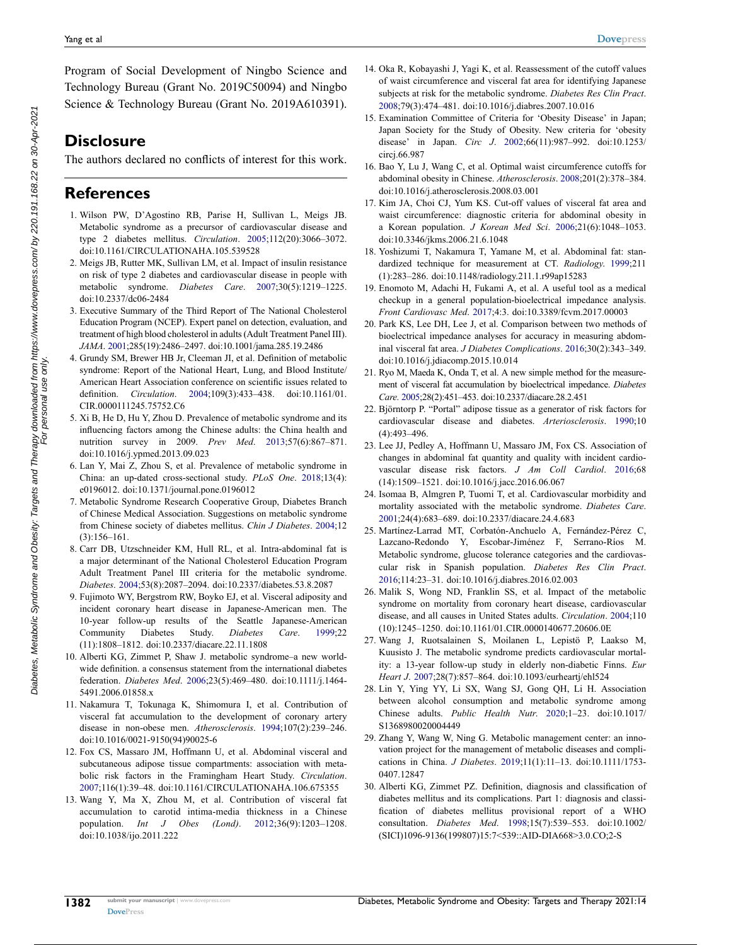Program of Social Development of Ningbo Science and Technology Bureau (Grant No. 2019C50094) and Ningbo Science & Technology Bureau (Grant No. 2019A610391).

### **Disclosure**

The authors declared no conflicts of interest for this work.

#### **References**

- <span id="page-7-0"></span>1. Wilson PW, D'Agostino RB, Parise H, Sullivan L, Meigs JB. Metabolic syndrome as a precursor of cardiovascular disease and type 2 diabetes mellitus. *Circulation*. [2005](#page-0-5);112(20):3066–3072. doi:[10.1161/CIRCULATIONAHA.105.539528](https://doi.org/10.1161/CIRCULATIONAHA.105.539528)
- <span id="page-7-1"></span>2. Meigs JB, Rutter MK, Sullivan LM, et al. Impact of insulin resistance on risk of type 2 diabetes and cardiovascular disease in people with metabolic syndrome. *Diabetes Care*. [2007;](#page-0-5)30(5):1219–1225. doi:[10.2337/dc06-2484](https://doi.org/10.2337/dc06-2484)
- <span id="page-7-2"></span>3. Executive Summary of the Third Report of The National Cholesterol Education Program (NCEP). Expert panel on detection, evaluation, and treatment of high blood cholesterol in adults (Adult Treatment Panel III). *JAMA*. [2001](#page-0-6);285(19):2486–2497. doi:[10.1001/jama.285.19.2486](https://doi.org/10.1001/jama.285.19.2486)
- <span id="page-7-3"></span>4. Grundy SM, Brewer HB Jr, Cleeman JI, et al. Definition of metabolic syndrome: Report of the National Heart, Lung, and Blood Institute/ American Heart Association conference on scientific issues related to definition. *Circulation*. [2004](#page-0-6);109(3):433–438. doi:[10.1161/01.](https://doi.org/10.1161/01.CIR.0000111245.75752.C6)  [CIR.0000111245.75752.C6](https://doi.org/10.1161/01.CIR.0000111245.75752.C6)
- <span id="page-7-4"></span>5. Xi B, He D, Hu Y, Zhou D. Prevalence of metabolic syndrome and its influencing factors among the Chinese adults: the China health and nutrition survey in 2009. *Prev Med*. [2013;](#page-0-7)57(6):867–871. doi:[10.1016/j.ypmed.2013.09.023](https://doi.org/10.1016/j.ypmed.2013.09.023)
- <span id="page-7-5"></span>6. Lan Y, Mai Z, Zhou S, et al. Prevalence of metabolic syndrome in China: an up-dated cross-sectional study. *PLoS One*. [2018;](#page-0-7)13(4): e0196012. doi:[10.1371/journal.pone.0196012](https://doi.org/10.1371/journal.pone.0196012)
- <span id="page-7-6"></span>7. Metabolic Syndrome Research Cooperative Group, Diabetes Branch of Chinese Medical Association. Suggestions on metabolic syndrome from Chinese society of diabetes mellitus. *Chin J Diabetes*. [2004](#page-0-8);12 (3):156–161.
- <span id="page-7-7"></span>8. Carr DB, Utzschneider KM, Hull RL, et al. Intra-abdominal fat is a major determinant of the National Cholesterol Education Program Adult Treatment Panel III criteria for the metabolic syndrome. *Diabetes*. [2004;](#page-0-9)53(8):2087–2094. doi:[10.2337/diabetes.53.8.2087](https://doi.org/10.2337/diabetes.53.8.2087)
- <span id="page-7-8"></span>9. Fujimoto WY, Bergstrom RW, Boyko EJ, et al. Visceral adiposity and incident coronary heart disease in Japanese-American men. The 10-year follow-up results of the Seattle Japanese-American Community Diabetes Study. *Diabetes Care*. [1999](#page-0-9);22 (11):1808–1812. doi:[10.2337/diacare.22.11.1808](https://doi.org/10.2337/diacare.22.11.1808)
- <span id="page-7-9"></span>10. Alberti KG, Zimmet P, Shaw J. metabolic syndrome–a new worldwide definition. a consensus statement from the international diabetes federation. *Diabetes Med*. [2006;](#page-0-10)23(5):469–480. doi:[10.1111/j.1464-](https://doi.org/10.1111/j.1464-5491.2006.01858.x)  [5491.2006.01858.x](https://doi.org/10.1111/j.1464-5491.2006.01858.x)
- <span id="page-7-10"></span>11. Nakamura T, Tokunaga K, Shimomura I, et al. Contribution of visceral fat accumulation to the development of coronary artery disease in non-obese men. *Atherosclerosis*. [1994;](#page-0-11)107(2):239–246. doi:[10.1016/0021-9150\(94\)90025-6](https://doi.org/10.1016/0021-9150(94)90025-6)
- 12. Fox CS, Massaro JM, Hoffmann U, et al. Abdominal visceral and subcutaneous adipose tissue compartments: association with metabolic risk factors in the Framingham Heart Study. *Circulation*. 2007;116(1):39–48. doi:[10.1161/CIRCULATIONAHA.106.675355](https://doi.org/10.1161/CIRCULATIONAHA.106.675355)
- 13. Wang Y, Ma X, Zhou M, et al. Contribution of visceral fat accumulation to carotid intima-media thickness in a Chinese population. *Int J Obes (Lond)*. 2012;36(9):1203–1208. doi:[10.1038/ijo.2011.222](https://doi.org/10.1038/ijo.2011.222)
- <span id="page-7-11"></span>14. Oka R, Kobayashi J, Yagi K, et al. Reassessment of the cutoff values of waist circumference and visceral fat area for identifying Japanese subjects at risk for the metabolic syndrome. *Diabetes Res Clin Pract*. [2008](#page-1-0);79(3):474–481. doi:[10.1016/j.diabres.2007.10.016](https://doi.org/10.1016/j.diabres.2007.10.016)
- <span id="page-7-24"></span>15. Examination Committee of Criteria for 'Obesity Disease' in Japan; Japan Society for the Study of Obesity. New criteria for 'obesity disease' in Japan. *Circ J*. [2002;](#page-6-1)66(11):987–992. doi:[10.1253/](https://doi.org/10.1253/circj.66.987) [circj.66.987](https://doi.org/10.1253/circj.66.987)
- <span id="page-7-23"></span>16. Bao Y, Lu J, Wang C, et al. Optimal waist circumference cutoffs for abdominal obesity in Chinese. *Atherosclerosis*. [2008;](#page-5-3)201(2):378–384. doi:[10.1016/j.atherosclerosis.2008.03.001](https://doi.org/10.1016/j.atherosclerosis.2008.03.001)
- <span id="page-7-25"></span>17. Kim JA, Choi CJ, Yum KS. Cut-off values of visceral fat area and waist circumference: diagnostic criteria for abdominal obesity in a Korean population. *J Korean Med Sci*. [2006;](#page-6-2)21(6):1048–1053. doi:[10.3346/jkms.2006.21.6.1048](https://doi.org/10.3346/jkms.2006.21.6.1048)
- <span id="page-7-12"></span>18. Yoshizumi T, Nakamura T, Yamane M, et al. Abdominal fat: standardized technique for measurement at CT. *Radiology*. [1999](#page-1-1);211 (1):283–286. doi:[10.1148/radiology.211.1.r99ap15283](https://doi.org/10.1148/radiology.211.1.r99ap15283)
- <span id="page-7-22"></span>19. Enomoto M, Adachi H, Fukami A, et al. A useful tool as a medical checkup in a general population-bioelectrical impedance analysis. *Front Cardiovasc Med*. [2017](#page-2-0);4:3. doi:[10.3389/fcvm.2017.00003](https://doi.org/10.3389/fcvm.2017.00003)
- <span id="page-7-13"></span>20. Park KS, Lee DH, Lee J, et al. Comparison between two methods of bioelectrical impedance analyses for accuracy in measuring abdominal visceral fat area. *J Diabetes Complications*. [2016;](#page-1-2)30(2):343–349. doi:[10.1016/j.jdiacomp.2015.10.014](https://doi.org/10.1016/j.jdiacomp.2015.10.014)
- <span id="page-7-14"></span>21. Ryo M, Maeda K, Onda T, et al. A new simple method for the measurement of visceral fat accumulation by bioelectrical impedance. *Diabetes Care*. [2005;](#page-1-2)28(2):451–453. doi:[10.2337/diacare.28.2.451](https://doi.org/10.2337/diacare.28.2.451)
- <span id="page-7-15"></span>22. Björntorp P. "Portal" adipose tissue as a generator of risk factors for cardiovascular disease and diabetes. *Arteriosclerosis*. [1990](#page-1-3);10 (4):493–496.
- <span id="page-7-16"></span>23. Lee JJ, Pedley A, Hoffmann U, Massaro JM, Fox CS. Association of changes in abdominal fat quantity and quality with incident cardiovascular disease risk factors. *J Am Coll Cardiol*. [2016](#page-1-3);68 (14):1509–1521. doi:[10.1016/j.jacc.2016.06.067](https://doi.org/10.1016/j.jacc.2016.06.067)
- <span id="page-7-17"></span>24. Isomaa B, Almgren P, Tuomi T, et al. Cardiovascular morbidity and mortality associated with the metabolic syndrome. *Diabetes Care*. [2001](#page-1-4);24(4):683–689. doi:[10.2337/diacare.24.4.683](https://doi.org/10.2337/diacare.24.4.683)
- <span id="page-7-18"></span>25. Martínez-Larrad MT, Corbatón-Anchuelo A, Fernández-Pérez C, Lazcano-Redondo Y, Escobar-Jiménez F, Serrano-Ríos M. Metabolic syndrome, glucose tolerance categories and the cardiovascular risk in Spanish population. *Diabetes Res Clin Pract*. [2016](#page-1-5);114:23–31. doi:[10.1016/j.diabres.2016.02.003](https://doi.org/10.1016/j.diabres.2016.02.003)
- 26. Malik S, Wong ND, Franklin SS, et al. Impact of the metabolic syndrome on mortality from coronary heart disease, cardiovascular disease, and all causes in United States adults. *Circulation*. 2004;110 (10):1245–1250. doi:[10.1161/01.CIR.0000140677.20606.0E](https://doi.org/10.1161/01.CIR.0000140677.20606.0E)
- 27. Wang J, Ruotsalainen S, Moilanen L, Lepistö P, Laakso M, Kuusisto J. The metabolic syndrome predicts cardiovascular mortality: a 13-year follow-up study in elderly non-diabetic Finns. *Eur Heart J*. 2007;28(7):857–864. doi:[10.1093/eurheartj/ehl524](https://doi.org/10.1093/eurheartj/ehl524)
- <span id="page-7-19"></span>28. Lin Y, Ying YY, Li SX, Wang SJ, Gong QH, Li H. Association between alcohol consumption and metabolic syndrome among Chinese adults. *Public Health Nutr*. [2020;](#page-1-6)1–23. doi:[10.1017/](https://doi.org/10.1017/S1368980020004449) [S1368980020004449](https://doi.org/10.1017/S1368980020004449)
- <span id="page-7-20"></span>29. Zhang Y, Wang W, Ning G. Metabolic management center: an innovation project for the management of metabolic diseases and complications in China. *J Diabetes*. [2019;](#page-1-7)11(1):11–13. doi:[10.1111/1753-](https://doi.org/10.1111/1753-0407.12847) [0407.12847](https://doi.org/10.1111/1753-0407.12847)
- <span id="page-7-21"></span>30. Alberti KG, Zimmet PZ. Definition, diagnosis and classification of diabetes mellitus and its complications. Part 1: diagnosis and classification of diabetes mellitus provisional report of a WHO consultation. *Diabetes Med*. [1998;](#page-1-8)15(7):539–553. doi:[10.1002/](https://doi.org/10.1002/(SICI)1096-9136(199807)15:7%3C539::AID-DIA668%3E3.0.CO;2-S) [\(SICI\)1096-9136\(199807\)15:7<539::AID-DIA668>3.0.CO;2-S](https://doi.org/10.1002/(SICI)1096-9136(199807)15:7%3C539::AID-DIA668%3E3.0.CO;2-S)